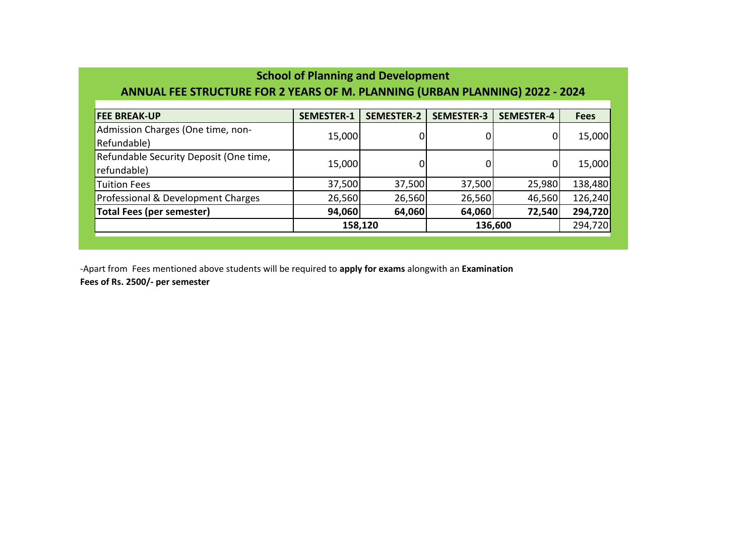| <b>School of Planning and Development</b><br>ANNUAL FEE STRUCTURE FOR 2 YEARS OF M. PLANNING (URBAN PLANNING) 2022 - 2024 |                   |                   |                   |                   |             |  |  |  |  |  |
|---------------------------------------------------------------------------------------------------------------------------|-------------------|-------------------|-------------------|-------------------|-------------|--|--|--|--|--|
| <b>FEE BREAK-UP</b>                                                                                                       | <b>SEMESTER-1</b> | <b>SEMESTER-2</b> | <b>SEMESTER-3</b> | <b>SEMESTER-4</b> | <b>Fees</b> |  |  |  |  |  |
| Admission Charges (One time, non-<br>Refundable)                                                                          | 15,000            |                   |                   | 0                 | 15,000      |  |  |  |  |  |
| Refundable Security Deposit (One time,<br>refundable)                                                                     | 15,000            | 0                 |                   | 0                 | 15,000      |  |  |  |  |  |
| <b>Tuition Fees</b>                                                                                                       | 37,500            | 37,500            | 37,500            | 25,980            | 138,480     |  |  |  |  |  |
| Professional & Development Charges                                                                                        | 26,560            | 26,560            | 26,560            | 46,560            | 126,240     |  |  |  |  |  |
| <b>Total Fees (per semester)</b>                                                                                          | 94,060            | 64,060            | 64,060            | 72,540            | 294,720     |  |  |  |  |  |
|                                                                                                                           | 158,120           |                   | 136,600           | 294,720           |             |  |  |  |  |  |
|                                                                                                                           |                   |                   |                   |                   |             |  |  |  |  |  |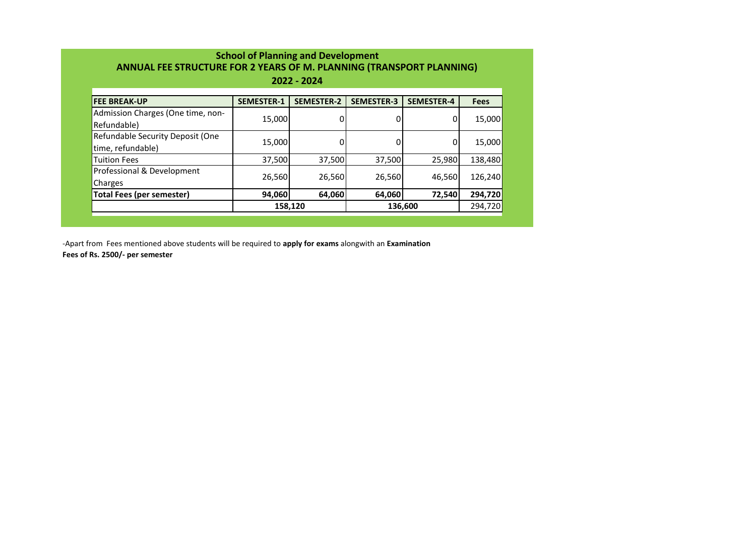| 2022 - 2024                                           |                   |                   |                   |                   |             |  |  |  |  |
|-------------------------------------------------------|-------------------|-------------------|-------------------|-------------------|-------------|--|--|--|--|
| <b>FEE BREAK-UP</b>                                   | <b>SEMESTER-1</b> | <b>SEMESTER-2</b> | <b>SEMESTER-3</b> | <b>SEMESTER-4</b> | <b>Fees</b> |  |  |  |  |
| Admission Charges (One time, non-<br>Refundable)      | 15,000            |                   |                   | 0                 | 15,000      |  |  |  |  |
| Refundable Security Deposit (One<br>time, refundable) | 15,000            |                   |                   | 0                 | 15,000      |  |  |  |  |
| <b>Tuition Fees</b>                                   | 37,500            | 37,500            | 37,500            | 25,980            | 138,480     |  |  |  |  |
| Professional & Development<br>Charges                 | 26,560            | 26,560            | 26,560            | 46,560            | 126,240     |  |  |  |  |
| <b>Total Fees (per semester)</b>                      | 94,060            | 64,060            | 64,060            | 72,540            | 294,720     |  |  |  |  |
|                                                       | 158,120           |                   |                   | 136,600           | 294,720     |  |  |  |  |

-Apart from Fees mentioned above students will be required to **apply for exams** alongwith an **Examination** 

**Fees of Rs. 2500/- per semester**

## **School of Planning and Development ANNUAL FEE STRUCTURE FOR 2 YEARS OF M. PLANNING (TRANSPORT PLANNING)**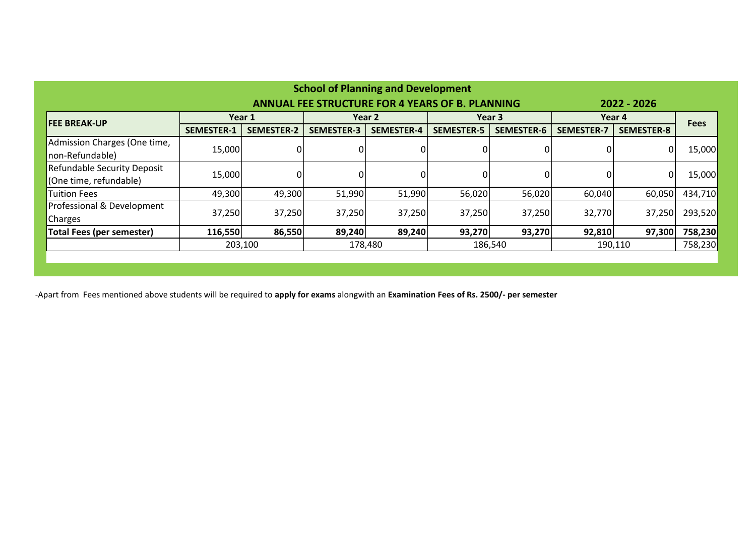| <b>School of Planning and Development</b>                             |                   |                    |                   |                   |                   |                   |                   |                   |             |  |
|-----------------------------------------------------------------------|-------------------|--------------------|-------------------|-------------------|-------------------|-------------------|-------------------|-------------------|-------------|--|
| <b>ANNUAL FEE STRUCTURE FOR 4 YEARS OF B. PLANNING</b><br>2022 - 2026 |                   |                    |                   |                   |                   |                   |                   |                   |             |  |
| <b>FEE BREAK-UP</b>                                                   | Year 1            |                    | Year 2            |                   | Year 3            |                   | Year 4            |                   | <b>Fees</b> |  |
|                                                                       | <b>SEMESTER-1</b> | <b>SEMESTER-2</b>  | <b>SEMESTER-3</b> | <b>SEMESTER-4</b> | <b>SEMESTER-5</b> | <b>SEMESTER-6</b> | <b>SEMESTER-7</b> | <b>SEMESTER-8</b> |             |  |
| Admission Charges (One time,                                          | 15,000            | $\overline{0}$     |                   |                   |                   |                   |                   | 0                 | 15,000      |  |
| non-Refundable)                                                       |                   |                    |                   |                   |                   |                   |                   |                   |             |  |
| <b>Refundable Security Deposit</b>                                    | 15,000            |                    |                   |                   |                   |                   |                   | 0                 | 15,000      |  |
| (One time, refundable)                                                |                   |                    |                   |                   |                   |                   |                   |                   |             |  |
| <b>Tuition Fees</b>                                                   | 49,300            | 49,300             | 51,990            | 51,990            | 56,020            | 56,020            | 60,040            | 60,050            | 434,710     |  |
| Professional & Development                                            |                   | 37,250             | 37,250            | 37,250            | 37,250            | 37,250            | 32,770            |                   |             |  |
| Charges                                                               | 37,250            |                    |                   |                   |                   |                   |                   | 37,250            | 293,520     |  |
| <b>Total Fees (per semester)</b>                                      | 116,550           | 86,550             | 89,240            | 89,240            | 93,270            | 93,270            | 92,810            | 97,300            | 758,230     |  |
|                                                                       |                   | 203,100<br>178,480 |                   |                   |                   | 186,540           | 190,110           |                   | 758,230     |  |
|                                                                       |                   |                    |                   |                   |                   |                   |                   |                   |             |  |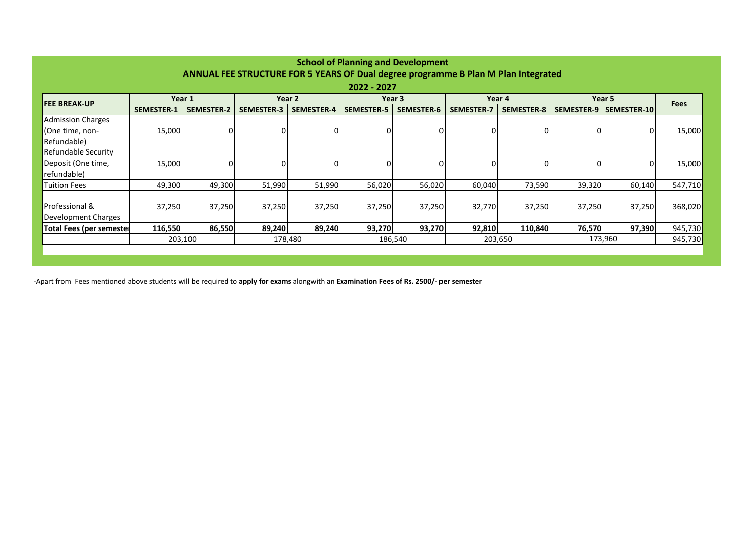| <b>School of Planning and Development</b>                                          |                   |                    |                   |                   |                   |                   |                   |                   |                   |             |             |
|------------------------------------------------------------------------------------|-------------------|--------------------|-------------------|-------------------|-------------------|-------------------|-------------------|-------------------|-------------------|-------------|-------------|
| ANNUAL FEE STRUCTURE FOR 5 YEARS OF Dual degree programme B Plan M Plan Integrated |                   |                    |                   |                   |                   |                   |                   |                   |                   |             |             |
| 2022 - 2027                                                                        |                   |                    |                   |                   |                   |                   |                   |                   |                   |             |             |
| <b>FEE BREAK-UP</b>                                                                | Year 1            |                    | Year 2            |                   | Year 3            |                   | Year 4            |                   | Year 5            |             | <b>Fees</b> |
|                                                                                    | <b>SEMESTER-1</b> | <b>SEMESTER-2</b>  | <b>SEMESTER-3</b> | <b>SEMESTER-4</b> | <b>SEMESTER-5</b> | <b>SEMESTER-6</b> | <b>SEMESTER-7</b> | <b>SEMESTER-8</b> | <b>SEMESTER-9</b> | SEMESTER-10 |             |
| <b>Admission Charges</b>                                                           |                   |                    |                   |                   |                   |                   |                   |                   |                   |             |             |
| (One time, non-                                                                    | 15,000            |                    |                   | 0                 | 0                 | 0                 |                   | 0                 | 0                 | 0           | 15,000      |
| Refundable)                                                                        |                   |                    |                   |                   |                   |                   |                   |                   |                   |             |             |
| <b>Refundable Security</b>                                                         |                   |                    |                   |                   |                   |                   |                   |                   |                   |             |             |
| Deposit (One time,                                                                 | 15,000            |                    |                   |                   | 0                 |                   |                   | 0                 | 0                 | 0           | 15,000      |
| refundable)                                                                        |                   |                    |                   |                   |                   |                   |                   |                   |                   |             |             |
| Tuition Fees                                                                       | 49,300            | 49,300             | 51,990            | 51,990            | 56,020            | 56,020            | 60,040            | 73,590            | 39,320            | 60,140      | 547,710     |
|                                                                                    |                   |                    |                   |                   |                   |                   |                   |                   |                   |             |             |
| <b>Professional &amp;</b>                                                          | 37,250            | 37,250             | 37,250            | 37,250            | 37,250            | 37,250            | 32,770            | 37,250            | 37,250            | 37,250      | 368,020     |
| Development Charges                                                                |                   |                    |                   |                   |                   |                   |                   |                   |                   |             |             |
| Total Fees (per semester                                                           | 116,550           | 86,550             | 89,240            | 89,240            | 93,270            | 93,270            | 92,810            | 110,840           | 76,570            | 97,390      | 945,730     |
|                                                                                    |                   | 203,100<br>178,480 |                   | 186,540           |                   | 203,650           |                   | 173,960           |                   | 945,730     |             |
|                                                                                    |                   |                    |                   |                   |                   |                   |                   |                   |                   |             |             |